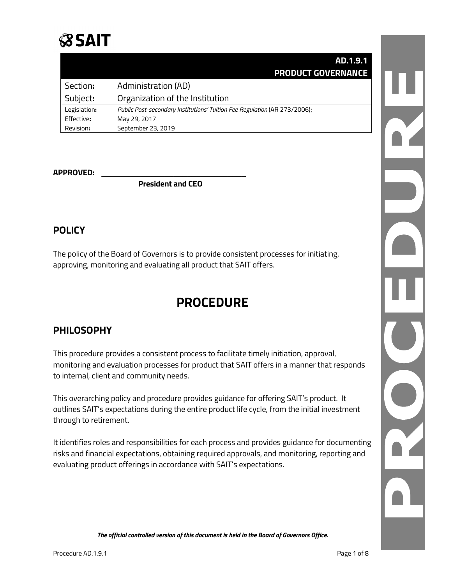# *S***SAIT**

|              | AD.1.9.1                                                                  |
|--------------|---------------------------------------------------------------------------|
|              | <b>PRODUCT GOVERNANCE</b>                                                 |
| Section:     | <b>Administration (AD)</b>                                                |
| Subject:     | Organization of the Institution                                           |
| Legislation: | Public Post-secondary Institutions' Tuition Fee Regulation (AR 273/2006); |
| Effective:   | May 29, 2017                                                              |
| Revision:    | September 23, 2019                                                        |

#### **APPROVED:** \_\_\_\_\_\_\_\_\_\_\_\_\_\_\_\_\_\_\_\_\_\_\_\_\_\_\_\_\_\_\_\_

**President and CEO**

### **POLICY**

The policy of the Board of Governors is to provide consistent processes for initiating, approving, monitoring and evaluating all product that SAIT offers.

## **PROCEDURE**

## **PHILOSOPHY**

This procedure provides a consistent process to facilitate timely initiation, approval, monitoring and evaluation processes for product that SAIT offers in a manner that responds to internal, client and community needs.

This overarching policy and procedure provides guidance for offering SAIT's product. It outlines SAIT's expectations during the entire product life cycle, from the initial investment through to retirement.

It identifies roles and responsibilities for each process and provides guidance for documenting risks and financial expectations, obtaining required approvals, and monitoring, reporting and evaluating product offerings in accordance with SAIT's expectations.

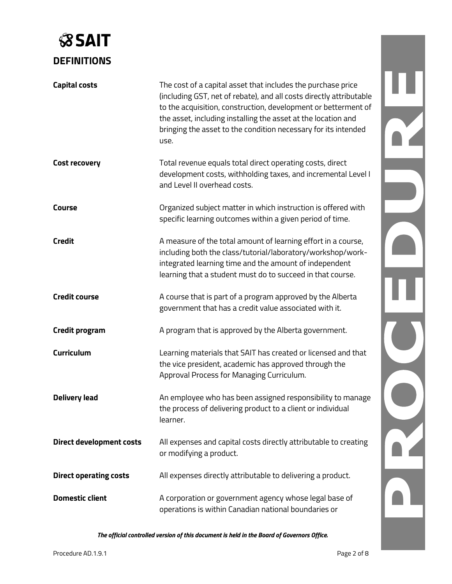# **SSAIT DEFINITIONS**

| <b>Capital costs</b>            | The cost of a capital asset that includes the purchase price<br>(including GST, net of rebate), and all costs directly attributable<br>to the acquisition, construction, development or betterment of<br>the asset, including installing the asset at the location and<br>bringing the asset to the condition necessary for its intended<br>use. |  |
|---------------------------------|--------------------------------------------------------------------------------------------------------------------------------------------------------------------------------------------------------------------------------------------------------------------------------------------------------------------------------------------------|--|
| <b>Cost recovery</b>            | Total revenue equals total direct operating costs, direct<br>development costs, withholding taxes, and incremental Level I<br>and Level II overhead costs.                                                                                                                                                                                       |  |
| Course                          | Organized subject matter in which instruction is offered with<br>specific learning outcomes within a given period of time.                                                                                                                                                                                                                       |  |
| <b>Credit</b>                   | A measure of the total amount of learning effort in a course,<br>including both the class/tutorial/laboratory/workshop/work-<br>integrated learning time and the amount of independent<br>learning that a student must do to succeed in that course.                                                                                             |  |
| <b>Credit course</b>            | A course that is part of a program approved by the Alberta<br>government that has a credit value associated with it.                                                                                                                                                                                                                             |  |
| <b>Credit program</b>           | A program that is approved by the Alberta government.                                                                                                                                                                                                                                                                                            |  |
| Curriculum                      | Learning materials that SAIT has created or licensed and that<br>the vice president, academic has approved through the<br>Approval Process for Managing Curriculum.                                                                                                                                                                              |  |
| <b>Delivery lead</b>            | An employee who has been assigned responsibility to manage<br>the process of delivering product to a client or individual<br>learner.                                                                                                                                                                                                            |  |
| <b>Direct development costs</b> | All expenses and capital costs directly attributable to creating<br>or modifying a product.                                                                                                                                                                                                                                                      |  |
| <b>Direct operating costs</b>   | All expenses directly attributable to delivering a product.                                                                                                                                                                                                                                                                                      |  |
| <b>Domestic client</b>          | A corporation or government agency whose legal base of<br>operations is within Canadian national boundaries or                                                                                                                                                                                                                                   |  |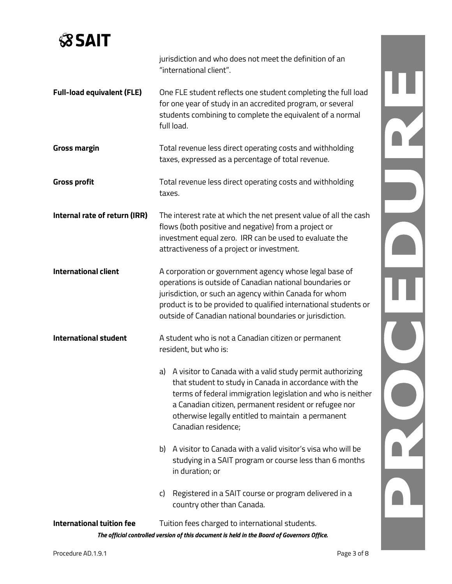

|                                   | jurisdiction and who does not meet the definition of an<br>"international client".                                                                                                                                                                                                                                          |  |
|-----------------------------------|-----------------------------------------------------------------------------------------------------------------------------------------------------------------------------------------------------------------------------------------------------------------------------------------------------------------------------|--|
| <b>Full-load equivalent (FLE)</b> | One FLE student reflects one student completing the full load<br>for one year of study in an accredited program, or several<br>students combining to complete the equivalent of a normal<br>full load.                                                                                                                      |  |
| <b>Gross margin</b>               | Total revenue less direct operating costs and withholding<br>taxes, expressed as a percentage of total revenue.                                                                                                                                                                                                             |  |
| <b>Gross profit</b>               | Total revenue less direct operating costs and withholding<br>taxes.                                                                                                                                                                                                                                                         |  |
| Internal rate of return (IRR)     | The interest rate at which the net present value of all the cash<br>flows (both positive and negative) from a project or<br>investment equal zero. IRR can be used to evaluate the<br>attractiveness of a project or investment.                                                                                            |  |
| <b>International client</b>       | A corporation or government agency whose legal base of<br>operations is outside of Canadian national boundaries or<br>jurisdiction, or such an agency within Canada for whom<br>product is to be provided to qualified international students or<br>outside of Canadian national boundaries or jurisdiction.                |  |
| <b>International student</b>      | A student who is not a Canadian citizen or permanent<br>resident, but who is:                                                                                                                                                                                                                                               |  |
|                                   | a) A visitor to Canada with a valid study permit authorizing<br>that student to study in Canada in accordance with the<br>terms of federal immigration legislation and who is neither<br>a Canadian citizen, permanent resident or refugee nor<br>otherwise legally entitled to maintain a permanent<br>Canadian residence; |  |
|                                   | b) A visitor to Canada with a valid visitor's visa who will be<br>studying in a SAIT program or course less than 6 months<br>in duration; or                                                                                                                                                                                |  |
|                                   | Registered in a SAIT course or program delivered in a<br>C)<br>country other than Canada.                                                                                                                                                                                                                                   |  |
| <b>International tuition fee</b>  | Tuition fees charged to international students.                                                                                                                                                                                                                                                                             |  |
|                                   | The official controlled version of this document is held in the Board of Governors Office.                                                                                                                                                                                                                                  |  |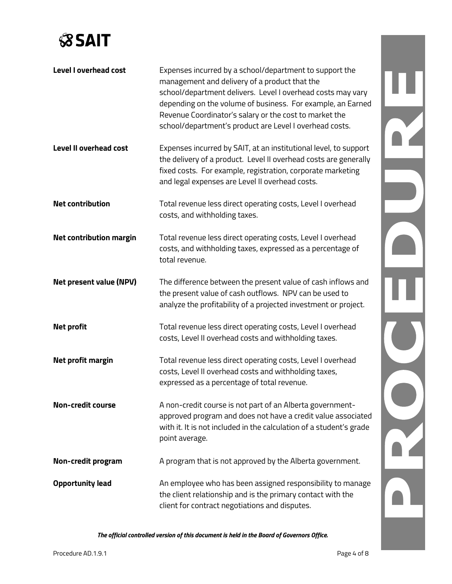

| <b>Level I overhead cost</b>   | Expenses incurred by a school/department to support the<br>management and delivery of a product that the<br>school/department delivers. Level I overhead costs may vary<br>depending on the volume of business. For example, an Earned<br>Revenue Coordinator's salary or the cost to market the<br>school/department's product are Level I overhead costs. |  |
|--------------------------------|-------------------------------------------------------------------------------------------------------------------------------------------------------------------------------------------------------------------------------------------------------------------------------------------------------------------------------------------------------------|--|
| <b>Level II overhead cost</b>  | Expenses incurred by SAIT, at an institutional level, to support<br>the delivery of a product. Level II overhead costs are generally<br>fixed costs. For example, registration, corporate marketing<br>and legal expenses are Level II overhead costs.                                                                                                      |  |
| <b>Net contribution</b>        | Total revenue less direct operating costs, Level I overhead<br>costs, and withholding taxes.                                                                                                                                                                                                                                                                |  |
| <b>Net contribution margin</b> | Total revenue less direct operating costs, Level I overhead<br>costs, and withholding taxes, expressed as a percentage of<br>total revenue.                                                                                                                                                                                                                 |  |
| <b>Net present value (NPV)</b> | The difference between the present value of cash inflows and<br>the present value of cash outflows. NPV can be used to<br>analyze the profitability of a projected investment or project.                                                                                                                                                                   |  |
| <b>Net profit</b>              | Total revenue less direct operating costs, Level I overhead<br>costs, Level II overhead costs and withholding taxes.                                                                                                                                                                                                                                        |  |
| Net profit margin              | Total revenue less direct operating costs, Level I overhead<br>costs, Level II overhead costs and withholding taxes,<br>expressed as a percentage of total revenue.                                                                                                                                                                                         |  |
| <b>Non-credit course</b>       | A non-credit course is not part of an Alberta government-<br>approved program and does not have a credit value associated<br>with it. It is not included in the calculation of a student's grade<br>point average.                                                                                                                                          |  |
| Non-credit program             | A program that is not approved by the Alberta government.                                                                                                                                                                                                                                                                                                   |  |
| <b>Opportunity lead</b>        | An employee who has been assigned responsibility to manage<br>the client relationship and is the primary contact with the<br>client for contract negotiations and disputes.                                                                                                                                                                                 |  |

*The official controlled version of this document is held in the Board of Governors Office.*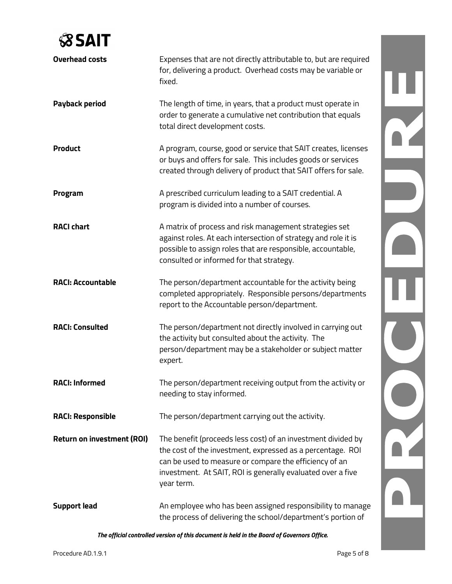## **SSAIT**

| <b>Overhead costs</b>             | Expenses that are not directly attributable to, but are required<br>for, delivering a product. Overhead costs may be variable or<br>fixed.                                                                                                                        |  |
|-----------------------------------|-------------------------------------------------------------------------------------------------------------------------------------------------------------------------------------------------------------------------------------------------------------------|--|
| <b>Payback period</b>             | The length of time, in years, that a product must operate in<br>order to generate a cumulative net contribution that equals<br>total direct development costs.                                                                                                    |  |
| <b>Product</b>                    | A program, course, good or service that SAIT creates, licenses<br>or buys and offers for sale. This includes goods or services<br>created through delivery of product that SAIT offers for sale.                                                                  |  |
| Program                           | A prescribed curriculum leading to a SAIT credential. A<br>program is divided into a number of courses.                                                                                                                                                           |  |
| <b>RACI chart</b>                 | A matrix of process and risk management strategies set<br>against roles. At each intersection of strategy and role it is<br>possible to assign roles that are responsible, accountable,<br>consulted or informed for that strategy.                               |  |
| <b>RACI: Accountable</b>          | The person/department accountable for the activity being<br>completed appropriately. Responsible persons/departments<br>report to the Accountable person/department.                                                                                              |  |
| <b>RACI: Consulted</b>            | The person/department not directly involved in carrying out<br>the activity but consulted about the activity. The<br>person/department may be a stakeholder or subject matter<br>expert.                                                                          |  |
| <b>RACI: Informed</b>             | The person/department receiving output from the activity or<br>needing to stay informed.                                                                                                                                                                          |  |
| <b>RACI: Responsible</b>          | The person/department carrying out the activity.                                                                                                                                                                                                                  |  |
| <b>Return on investment (ROI)</b> | The benefit (proceeds less cost) of an investment divided by<br>the cost of the investment, expressed as a percentage. ROI<br>can be used to measure or compare the efficiency of an<br>investment. At SAIT, ROI is generally evaluated over a five<br>year term. |  |
| <b>Support lead</b>               | An employee who has been assigned responsibility to manage<br>the process of delivering the school/department's portion of                                                                                                                                        |  |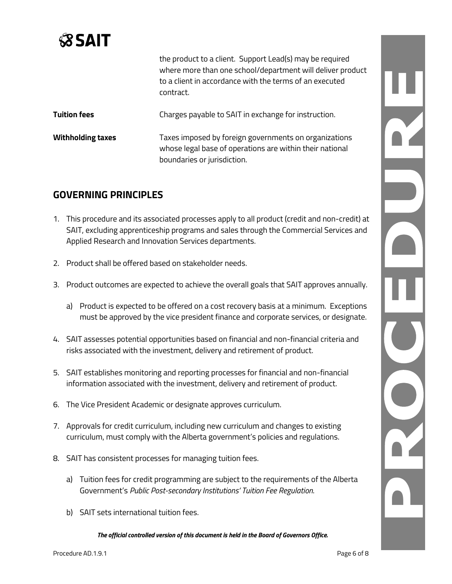# **SSAIT**

|                          | the product to a client. Support Lead(s) may be required<br>where more than one school/department will deliver product<br>to a client in accordance with the terms of an executed<br>contract. |
|--------------------------|------------------------------------------------------------------------------------------------------------------------------------------------------------------------------------------------|
| <b>Tuition fees</b>      | Charges payable to SAIT in exchange for instruction.                                                                                                                                           |
| <b>Withholding taxes</b> | Taxes imposed by foreign governments on organizations<br>whose legal base of operations are within their national<br>boundaries or jurisdiction.                                               |

## **GOVERNING PRINCIPLES**

- 1. This procedure and its associated processes apply to all product (credit and non-credit) at SAIT, excluding apprenticeship programs and sales through the Commercial Services and Applied Research and Innovation Services departments.
- 2. Product shall be offered based on stakeholder needs.
- 3. Product outcomes are expected to achieve the overall goals that SAIT approves annually.
	- a) Product is expected to be offered on a cost recovery basis at a minimum. Exceptions must be approved by the vice president finance and corporate services, or designate.
- 4. SAIT assesses potential opportunities based on financial and non-financial criteria and risks associated with the investment, delivery and retirement of product.
- 5. SAIT establishes monitoring and reporting processes for financial and non-financial information associated with the investment, delivery and retirement of product.
- 6. The Vice President Academic or designate approves curriculum.
- 7. Approvals for credit curriculum, including new curriculum and changes to existing curriculum, must comply with the Alberta government's policies and regulations.
- 8. SAIT has consistent processes for managing tuition fees.
	- a) Tuition fees for credit programming are subject to the requirements of the Alberta Government's *Public Post-secondary Institutions[' Tuition Fee Regulation](http://www.qp.alberta.ca/1266.cfm?page=2006_273.cfm&leg_type=Regs&isbncln=0779752325)*.
	- b) SAIT sets international tuition fees.

*The official controlled version of this document is held in the Board of Governors Office.*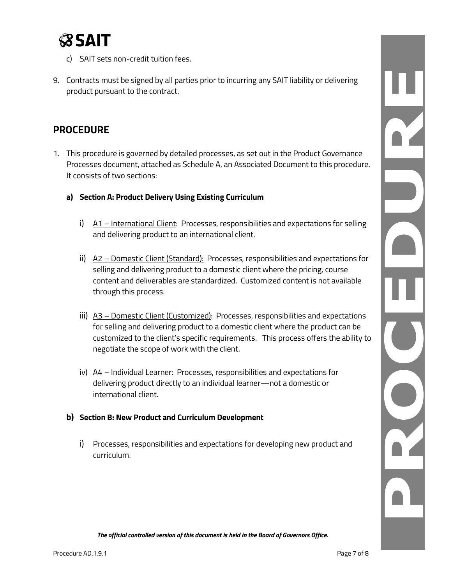

- c) SAIT sets non-credit tuition fees.
- 9. Contracts must be signed by all parties prior to incurring any SAIT liability or delivering product pursuant to the contract.

### **PROCEDURE**

- 1. This procedure is governed by detailed processes, as set out in the Product Governance Processes document, attached as Schedule A, an Associated Document to this procedure. It consists of two sections:
	- **a) Section A: Product Delivery Using Existing Curriculum**
		- i) A1 International Client: Processes, responsibilities and expectations for selling and delivering product to an international client.
		- ii) A2 Domestic Client (Standard): Processes, responsibilities and expectations for selling and delivering product to a domestic client where the pricing, course content and deliverables are standardized. Customized content is not available through this process.
		- iii)  $A3$  Domestic Client (Customized): Processes, responsibilities and expectations for selling and delivering product to a domestic client where the product can be customized to the client's specific requirements. This process offers the ability to negotiate the scope of work with the client.
		- iv)  $A4$  Individual Learner: Processes, responsibilities and expectations for delivering product directly to an individual learner—not a domestic or international client.

### **b) Section B: New Product and Curriculum Development**

i) Processes, responsibilities and expectations for developing new product and curriculum.